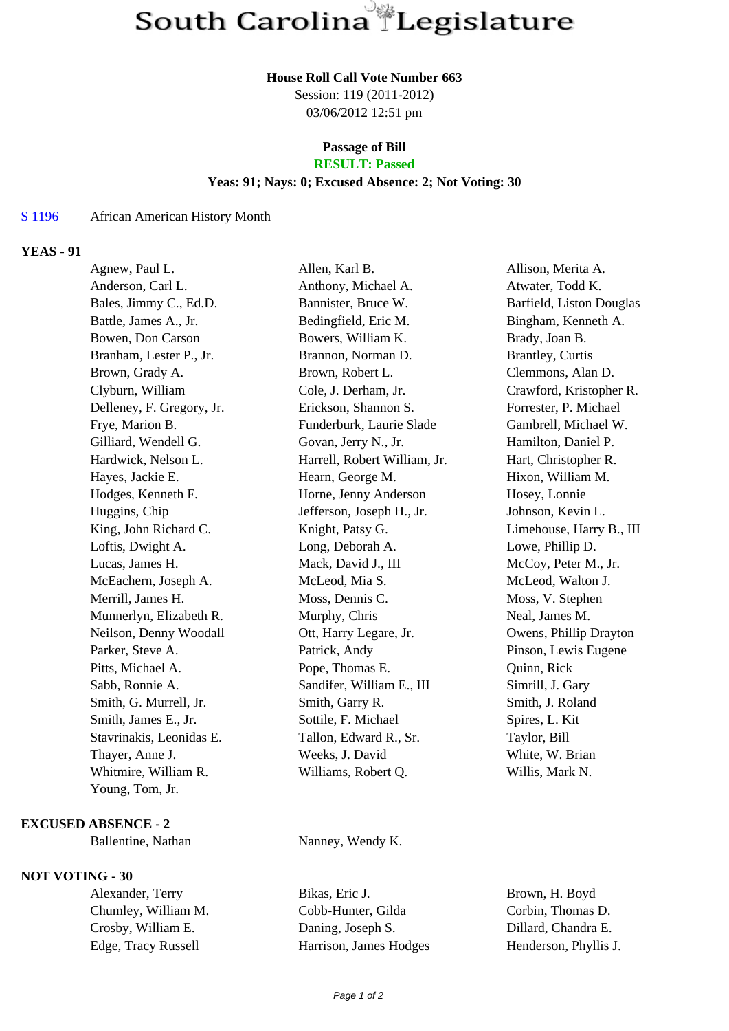### **House Roll Call Vote Number 663**

Session: 119 (2011-2012) 03/06/2012 12:51 pm

## **Passage of Bill RESULT: Passed**

# **Yeas: 91; Nays: 0; Excused Absence: 2; Not Voting: 30**

## S 1196 African American History Month

# **YEAS - 91**

| Agnew, Paul L.            | Allen, Karl B.               | Allison, Merita A.       |
|---------------------------|------------------------------|--------------------------|
| Anderson, Carl L.         | Anthony, Michael A.          | Atwater, Todd K.         |
| Bales, Jimmy C., Ed.D.    | Bannister, Bruce W.          | Barfield, Liston Douglas |
| Battle, James A., Jr.     | Bedingfield, Eric M.         | Bingham, Kenneth A.      |
| Bowen, Don Carson         | Bowers, William K.           | Brady, Joan B.           |
| Branham, Lester P., Jr.   | Brannon, Norman D.           | <b>Brantley, Curtis</b>  |
| Brown, Grady A.           | Brown, Robert L.             | Clemmons, Alan D.        |
| Clyburn, William          | Cole, J. Derham, Jr.         | Crawford, Kristopher R.  |
| Delleney, F. Gregory, Jr. | Erickson, Shannon S.         | Forrester, P. Michael    |
| Frye, Marion B.           | Funderburk, Laurie Slade     | Gambrell, Michael W.     |
| Gilliard, Wendell G.      | Govan, Jerry N., Jr.         | Hamilton, Daniel P.      |
| Hardwick, Nelson L.       | Harrell, Robert William, Jr. | Hart, Christopher R.     |
| Hayes, Jackie E.          | Hearn, George M.             | Hixon, William M.        |
| Hodges, Kenneth F.        | Horne, Jenny Anderson        | Hosey, Lonnie            |
| Huggins, Chip             | Jefferson, Joseph H., Jr.    | Johnson, Kevin L.        |
| King, John Richard C.     | Knight, Patsy G.             | Limehouse, Harry B., III |
| Loftis, Dwight A.         | Long, Deborah A.             | Lowe, Phillip D.         |
| Lucas, James H.           | Mack, David J., III          | McCoy, Peter M., Jr.     |
| McEachern, Joseph A.      | McLeod, Mia S.               | McLeod, Walton J.        |
| Merrill, James H.         | Moss, Dennis C.              | Moss, V. Stephen         |
| Munnerlyn, Elizabeth R.   | Murphy, Chris                | Neal, James M.           |
| Neilson, Denny Woodall    | Ott, Harry Legare, Jr.       | Owens, Phillip Drayton   |
| Parker, Steve A.          | Patrick, Andy                | Pinson, Lewis Eugene     |
| Pitts, Michael A.         | Pope, Thomas E.              | Quinn, Rick              |
| Sabb, Ronnie A.           | Sandifer, William E., III    | Simrill, J. Gary         |
| Smith, G. Murrell, Jr.    | Smith, Garry R.              | Smith, J. Roland         |
| Smith, James E., Jr.      | Sottile, F. Michael          | Spires, L. Kit           |
| Stavrinakis, Leonidas E.  | Tallon, Edward R., Sr.       | Taylor, Bill             |
| Thayer, Anne J.           | Weeks, J. David              | White, W. Brian          |
| Whitmire, William R.      | Williams, Robert Q.          | Willis, Mark N.          |
| Young, Tom, Jr.           |                              |                          |

### **EXCUSED ABSENCE - 2**

## **NOT VOTING - 30**

Alexander, Terry Bikas, Eric J. Brown, H. Boyd Chumley, William M. Cobb-Hunter, Gilda Corbin, Thomas D. Crosby, William E. Daning, Joseph S. Dillard, Chandra E. Edge, Tracy Russell Harrison, James Hodges Henderson, Phyllis J.

Ballentine, Nathan Nanney, Wendy K.